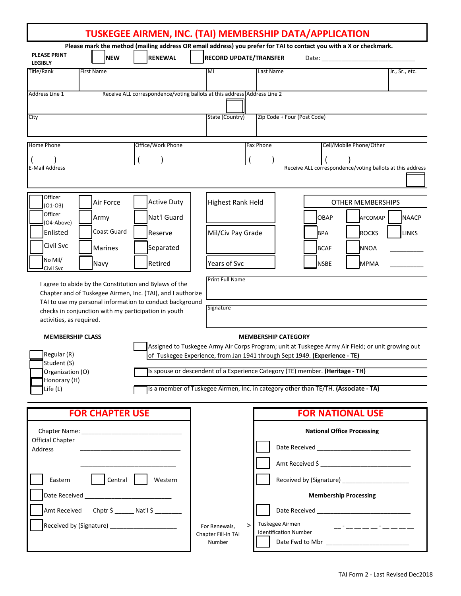|                                                                                                                                                                                                                               |                                                      |                                                                                                                       |                                                                                                                                                                                 |                                                                                                                                                                          | TUSKEGEE AIRMEN, INC. (TAI) MEMBERSHIP DATA/APPLICATION                                                                     |                              |  |
|-------------------------------------------------------------------------------------------------------------------------------------------------------------------------------------------------------------------------------|------------------------------------------------------|-----------------------------------------------------------------------------------------------------------------------|---------------------------------------------------------------------------------------------------------------------------------------------------------------------------------|--------------------------------------------------------------------------------------------------------------------------------------------------------------------------|-----------------------------------------------------------------------------------------------------------------------------|------------------------------|--|
| <b>PLEASE PRINT</b><br><b>LEGIBLY</b>                                                                                                                                                                                         | <b>NEW</b>                                           | <b>RENEWAL</b>                                                                                                        | <b>RECORD UPDATE/TRANSFER</b>                                                                                                                                                   |                                                                                                                                                                          | Please mark the method (mailing address OR email address) you prefer for TAI to contact you with a X or checkmark.<br>Date: |                              |  |
| Title/Rank                                                                                                                                                                                                                    | <b>First Name</b>                                    |                                                                                                                       | MI                                                                                                                                                                              | Last Name                                                                                                                                                                |                                                                                                                             | Jr., Sr., etc.               |  |
| Address Line 1                                                                                                                                                                                                                |                                                      |                                                                                                                       | Receive ALL correspondence/voting ballots at this address Address Line 2                                                                                                        |                                                                                                                                                                          |                                                                                                                             |                              |  |
| City                                                                                                                                                                                                                          |                                                      |                                                                                                                       | State (Country)                                                                                                                                                                 | Zip Code + Four (Post Code)                                                                                                                                              |                                                                                                                             |                              |  |
| Home Phone                                                                                                                                                                                                                    |                                                      | Office/Work Phone                                                                                                     |                                                                                                                                                                                 | Fax Phone                                                                                                                                                                | Cell/Mobile Phone/Other                                                                                                     |                              |  |
| E-Mail Address                                                                                                                                                                                                                |                                                      |                                                                                                                       |                                                                                                                                                                                 |                                                                                                                                                                          | Receive ALL correspondence/voting ballots at this address                                                                   |                              |  |
| Officer<br>$(01-03)$                                                                                                                                                                                                          | Air Force                                            | <b>Active Duty</b>                                                                                                    | <b>Highest Rank Held</b>                                                                                                                                                        |                                                                                                                                                                          |                                                                                                                             | <b>OTHER MEMBERSHIPS</b>     |  |
| Officer<br>(O4-Above)                                                                                                                                                                                                         | Army                                                 | Nat'l Guard                                                                                                           |                                                                                                                                                                                 |                                                                                                                                                                          | OBAP                                                                                                                        | <b>NAACP</b><br>AFCOMAP      |  |
| Enlisted                                                                                                                                                                                                                      | Coast Guard                                          | Reserve                                                                                                               | Mil/Civ Pay Grade                                                                                                                                                               |                                                                                                                                                                          | <b>BPA</b>                                                                                                                  | <b>ROCKS</b><br><b>LINKS</b> |  |
| Civil Svc<br>No Mil/                                                                                                                                                                                                          | Marines<br>Navy                                      | Separated<br>Retired                                                                                                  | Years of Svc                                                                                                                                                                    |                                                                                                                                                                          | <b>BCAF</b><br><b>NSBE</b>                                                                                                  | <b>NNOA</b><br><b>MPMA</b>   |  |
| Civil Svc                                                                                                                                                                                                                     |                                                      |                                                                                                                       | <b>Print Full Name</b>                                                                                                                                                          |                                                                                                                                                                          |                                                                                                                             |                              |  |
|                                                                                                                                                                                                                               |                                                      | I agree to abide by the Constitution and Bylaws of the<br>Chapter and of Tuskegee Airmen, Inc. (TAI), and I authorize |                                                                                                                                                                                 |                                                                                                                                                                          |                                                                                                                             |                              |  |
| activities, as required.                                                                                                                                                                                                      | checks in conjunction with my participation in youth | TAI to use my personal information to conduct background                                                              | Signature                                                                                                                                                                       |                                                                                                                                                                          |                                                                                                                             |                              |  |
| <b>MEMBERSHIP CLASS</b>                                                                                                                                                                                                       |                                                      | <b>MEMBERSHIP CATEGORY</b>                                                                                            |                                                                                                                                                                                 |                                                                                                                                                                          |                                                                                                                             |                              |  |
| Regular (R)<br>Student (S)                                                                                                                                                                                                    |                                                      |                                                                                                                       | Assigned to Tuskegee Army Air Corps Program; unit at Tuskegee Army Air Field; or unit growing out<br>of Tuskegee Experience, from Jan 1941 through Sept 1949. (Experience - TE) |                                                                                                                                                                          |                                                                                                                             |                              |  |
| Organization (O)<br>Honorary (H)                                                                                                                                                                                              |                                                      | Is spouse or descendent of a Experience Category (TE) member. (Heritage - TH)                                         |                                                                                                                                                                                 |                                                                                                                                                                          |                                                                                                                             |                              |  |
| Life (L)                                                                                                                                                                                                                      |                                                      |                                                                                                                       |                                                                                                                                                                                 |                                                                                                                                                                          | Is a member of Tuskegee Airmen, Inc. in category other than TE/TH. (Associate - TA)                                         |                              |  |
|                                                                                                                                                                                                                               | <b>FOR CHAPTER USE</b>                               |                                                                                                                       |                                                                                                                                                                                 |                                                                                                                                                                          | <b>FOR NATIONAL USE</b>                                                                                                     |                              |  |
| Chapter Name: The Chapter Name: The Chapter Name: The Chapter Name: The Chapter Of the Chapter of the Chapter Of the Chapter of the Chapter of the Chapter of the Chapter of the Chapter of the Chapter of the Chapter of the |                                                      |                                                                                                                       | <b>National Office Processing</b>                                                                                                                                               |                                                                                                                                                                          |                                                                                                                             |                              |  |
| Official Chapter<br><b>Address</b>                                                                                                                                                                                            |                                                      |                                                                                                                       |                                                                                                                                                                                 |                                                                                                                                                                          |                                                                                                                             |                              |  |
|                                                                                                                                                                                                                               |                                                      |                                                                                                                       |                                                                                                                                                                                 |                                                                                                                                                                          | Amt Received \$                                                                                                             |                              |  |
| Central  <br>Eastern<br>Western                                                                                                                                                                                               |                                                      |                                                                                                                       | Received by (Signature) ________________________<br><b>Membership Processing</b>                                                                                                |                                                                                                                                                                          |                                                                                                                             |                              |  |
| Amt Received Chptr \$ _______ Nat'l \$ _________                                                                                                                                                                              |                                                      |                                                                                                                       |                                                                                                                                                                                 |                                                                                                                                                                          |                                                                                                                             |                              |  |
| Received by (Signature) ______________________                                                                                                                                                                                |                                                      |                                                                                                                       | $\geq$<br>For Renewals,                                                                                                                                                         | Tuskegee Airmen<br><u> 22 mai 22 mai 22 mai 22 mai 22 mai 22 mai 22 mai 22 mai 22 mai 22 mai 22 mai 22 mai 22 mai 22 mai 22 mai 22 m</u><br><b>Identification Number</b> |                                                                                                                             |                              |  |
|                                                                                                                                                                                                                               |                                                      |                                                                                                                       | Chapter Fill-In TAI<br>Number                                                                                                                                                   |                                                                                                                                                                          |                                                                                                                             |                              |  |